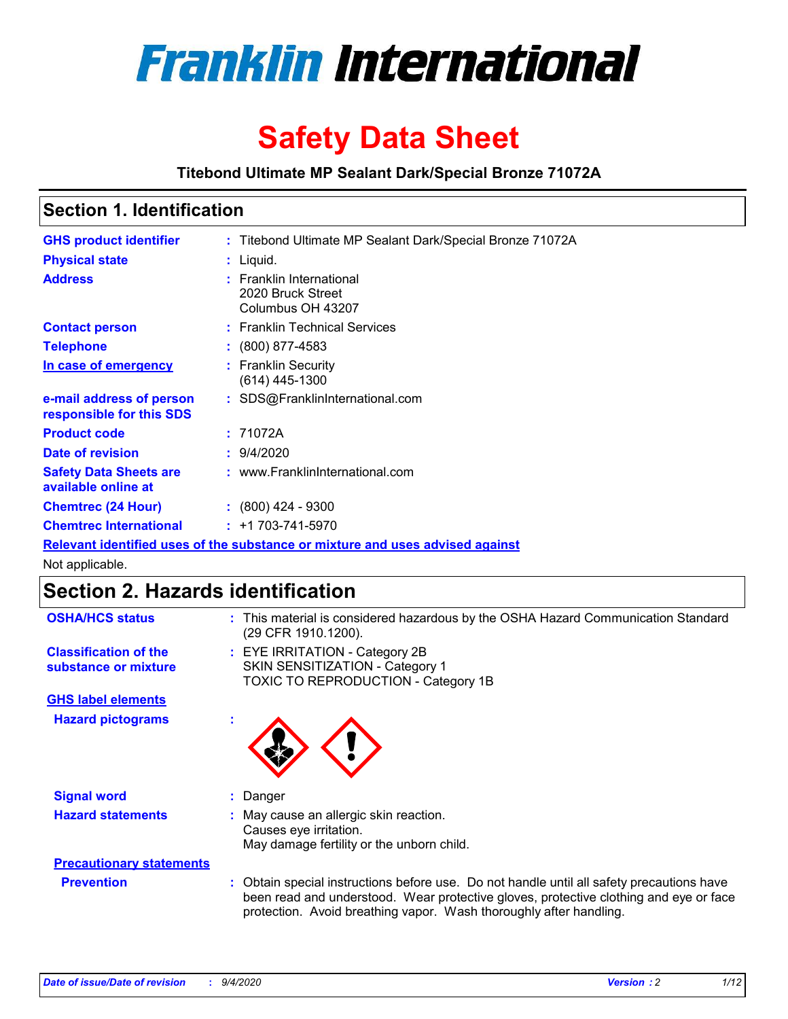

# **Safety Data Sheet**

**Titebond Ultimate MP Sealant Dark/Special Bronze 71072A**

### **Section 1. Identification**

| <b>GHS product identifier</b>                                                 |  | : Titebond Ultimate MP Sealant Dark/Special Bronze 71072A          |  |  |
|-------------------------------------------------------------------------------|--|--------------------------------------------------------------------|--|--|
| <b>Physical state</b>                                                         |  | : Liquid.                                                          |  |  |
| <b>Address</b>                                                                |  | : Franklin International<br>2020 Bruck Street<br>Columbus OH 43207 |  |  |
| <b>Contact person</b>                                                         |  | : Franklin Technical Services                                      |  |  |
| <b>Telephone</b>                                                              |  | $: (800) 877-4583$                                                 |  |  |
| In case of emergency                                                          |  | : Franklin Security<br>$(614)$ 445-1300                            |  |  |
| e-mail address of person<br>responsible for this SDS                          |  | : SDS@FranklinInternational.com                                    |  |  |
| <b>Product code</b>                                                           |  | : 71072A                                                           |  |  |
| Date of revision                                                              |  | 9/4/2020                                                           |  |  |
| <b>Safety Data Sheets are</b><br>available online at                          |  | : www.FranklinInternational.com                                    |  |  |
| <b>Chemtrec (24 Hour)</b>                                                     |  | $\div$ (800) 424 - 9300                                            |  |  |
| <b>Chemtrec International</b>                                                 |  | $: +1703 - 741 - 5970$                                             |  |  |
| Relevant identified uses of the substance or mixture and uses advised against |  |                                                                    |  |  |

Not applicable.

## **Section 2. Hazards identification**

| <b>OSHA/HCS status</b>                               |    | : This material is considered hazardous by the OSHA Hazard Communication Standard<br>(29 CFR 1910.1200).                                                                                                                                                 |
|------------------------------------------------------|----|----------------------------------------------------------------------------------------------------------------------------------------------------------------------------------------------------------------------------------------------------------|
| <b>Classification of the</b><br>substance or mixture |    | : EYE IRRITATION - Category 2B<br>SKIN SENSITIZATION - Category 1<br>TOXIC TO REPRODUCTION - Category 1B                                                                                                                                                 |
| <b>GHS label elements</b>                            |    |                                                                                                                                                                                                                                                          |
| <b>Hazard pictograms</b>                             | ×. |                                                                                                                                                                                                                                                          |
| <b>Signal word</b>                                   | ÷. | Danger                                                                                                                                                                                                                                                   |
| <b>Hazard statements</b>                             |    | May cause an allergic skin reaction.<br>Causes eye irritation.<br>May damage fertility or the unborn child.                                                                                                                                              |
| <b>Precautionary statements</b>                      |    |                                                                                                                                                                                                                                                          |
| <b>Prevention</b>                                    |    | : Obtain special instructions before use. Do not handle until all safety precautions have<br>been read and understood. Wear protective gloves, protective clothing and eye or face<br>protection. Avoid breathing vapor. Wash thoroughly after handling. |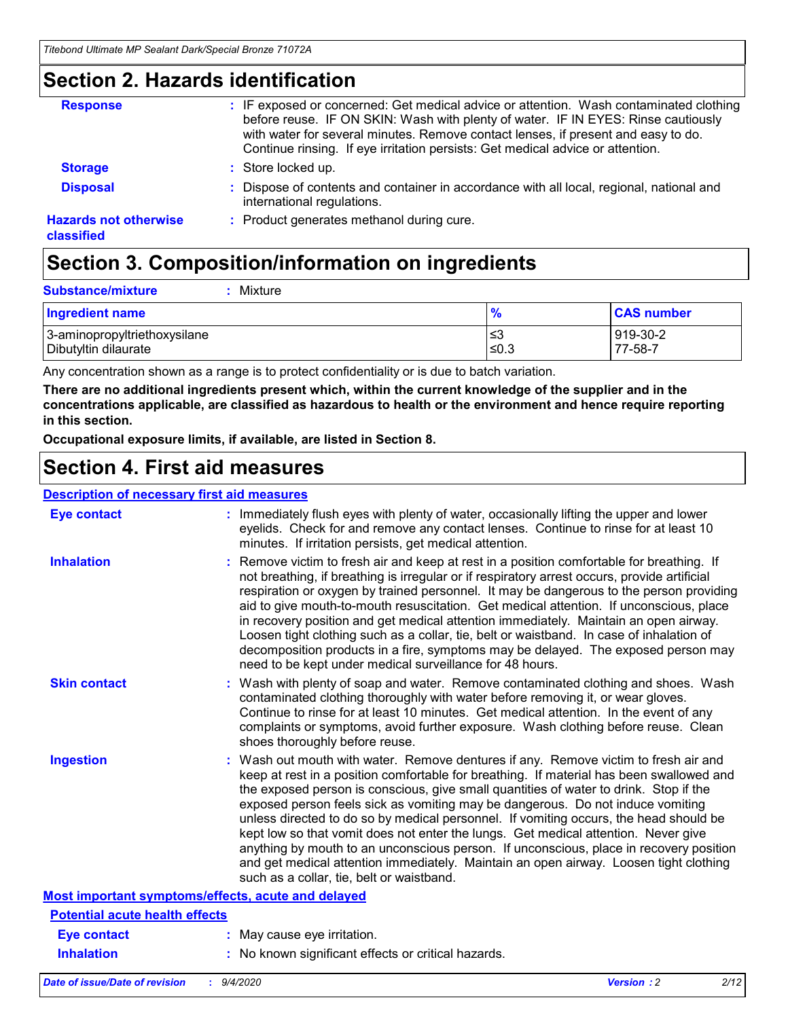### **Section 2. Hazards identification**

| <b>Response</b>                            | : IF exposed or concerned: Get medical advice or attention. Wash contaminated clothing<br>before reuse. IF ON SKIN: Wash with plenty of water. IF IN EYES: Rinse cautiously<br>with water for several minutes. Remove contact lenses, if present and easy to do.<br>Continue rinsing. If eye irritation persists: Get medical advice or attention. |
|--------------------------------------------|----------------------------------------------------------------------------------------------------------------------------------------------------------------------------------------------------------------------------------------------------------------------------------------------------------------------------------------------------|
| <b>Storage</b>                             | : Store locked up.                                                                                                                                                                                                                                                                                                                                 |
| <b>Disposal</b>                            | : Dispose of contents and container in accordance with all local, regional, national and<br>international regulations.                                                                                                                                                                                                                             |
| <b>Hazards not otherwise</b><br>classified | : Product generates methanol during cure.                                                                                                                                                                                                                                                                                                          |

## **Section 3. Composition/information on ingredients**

| <b>Substance/mixture</b> | : Mixture |
|--------------------------|-----------|
|                          |           |

| <b>Ingredient name</b>       | $\mathbf{0}$<br>70 | <b>CAS number</b> |
|------------------------------|--------------------|-------------------|
| 3-aminopropyltriethoxysilane | צ≥                 | 919-30-2          |
| Dibutyltin dilaurate         | ∣≤0.3              | 77-58-7           |

Any concentration shown as a range is to protect confidentiality or is due to batch variation.

**There are no additional ingredients present which, within the current knowledge of the supplier and in the concentrations applicable, are classified as hazardous to health or the environment and hence require reporting in this section.**

**Occupational exposure limits, if available, are listed in Section 8.**

### **Section 4. First aid measures**

| <b>Description of necessary first aid measures</b> |                                                                                                                                                                                                                                                                                                                                                                                                                                                                                                                                                                                                                                                                                                                                                                           |
|----------------------------------------------------|---------------------------------------------------------------------------------------------------------------------------------------------------------------------------------------------------------------------------------------------------------------------------------------------------------------------------------------------------------------------------------------------------------------------------------------------------------------------------------------------------------------------------------------------------------------------------------------------------------------------------------------------------------------------------------------------------------------------------------------------------------------------------|
| <b>Eye contact</b>                                 | : Immediately flush eyes with plenty of water, occasionally lifting the upper and lower<br>eyelids. Check for and remove any contact lenses. Continue to rinse for at least 10<br>minutes. If irritation persists, get medical attention.                                                                                                                                                                                                                                                                                                                                                                                                                                                                                                                                 |
| <b>Inhalation</b>                                  | : Remove victim to fresh air and keep at rest in a position comfortable for breathing. If<br>not breathing, if breathing is irregular or if respiratory arrest occurs, provide artificial<br>respiration or oxygen by trained personnel. It may be dangerous to the person providing<br>aid to give mouth-to-mouth resuscitation. Get medical attention. If unconscious, place<br>in recovery position and get medical attention immediately. Maintain an open airway.<br>Loosen tight clothing such as a collar, tie, belt or waistband. In case of inhalation of<br>decomposition products in a fire, symptoms may be delayed. The exposed person may<br>need to be kept under medical surveillance for 48 hours.                                                       |
| <b>Skin contact</b>                                | : Wash with plenty of soap and water. Remove contaminated clothing and shoes. Wash<br>contaminated clothing thoroughly with water before removing it, or wear gloves.<br>Continue to rinse for at least 10 minutes. Get medical attention. In the event of any<br>complaints or symptoms, avoid further exposure. Wash clothing before reuse. Clean<br>shoes thoroughly before reuse.                                                                                                                                                                                                                                                                                                                                                                                     |
| <b>Ingestion</b>                                   | : Wash out mouth with water. Remove dentures if any. Remove victim to fresh air and<br>keep at rest in a position comfortable for breathing. If material has been swallowed and<br>the exposed person is conscious, give small quantities of water to drink. Stop if the<br>exposed person feels sick as vomiting may be dangerous. Do not induce vomiting<br>unless directed to do so by medical personnel. If vomiting occurs, the head should be<br>kept low so that vomit does not enter the lungs. Get medical attention. Never give<br>anything by mouth to an unconscious person. If unconscious, place in recovery position<br>and get medical attention immediately. Maintain an open airway. Loosen tight clothing<br>such as a collar, tie, belt or waistband. |
| Most important symptoms/effects, acute and delayed |                                                                                                                                                                                                                                                                                                                                                                                                                                                                                                                                                                                                                                                                                                                                                                           |
| <b>Potential acute health effects</b>              |                                                                                                                                                                                                                                                                                                                                                                                                                                                                                                                                                                                                                                                                                                                                                                           |
| Eye contact                                        | : May cause eye irritation.                                                                                                                                                                                                                                                                                                                                                                                                                                                                                                                                                                                                                                                                                                                                               |
| <b>Inhalation</b>                                  | : No known significant effects or critical hazards.                                                                                                                                                                                                                                                                                                                                                                                                                                                                                                                                                                                                                                                                                                                       |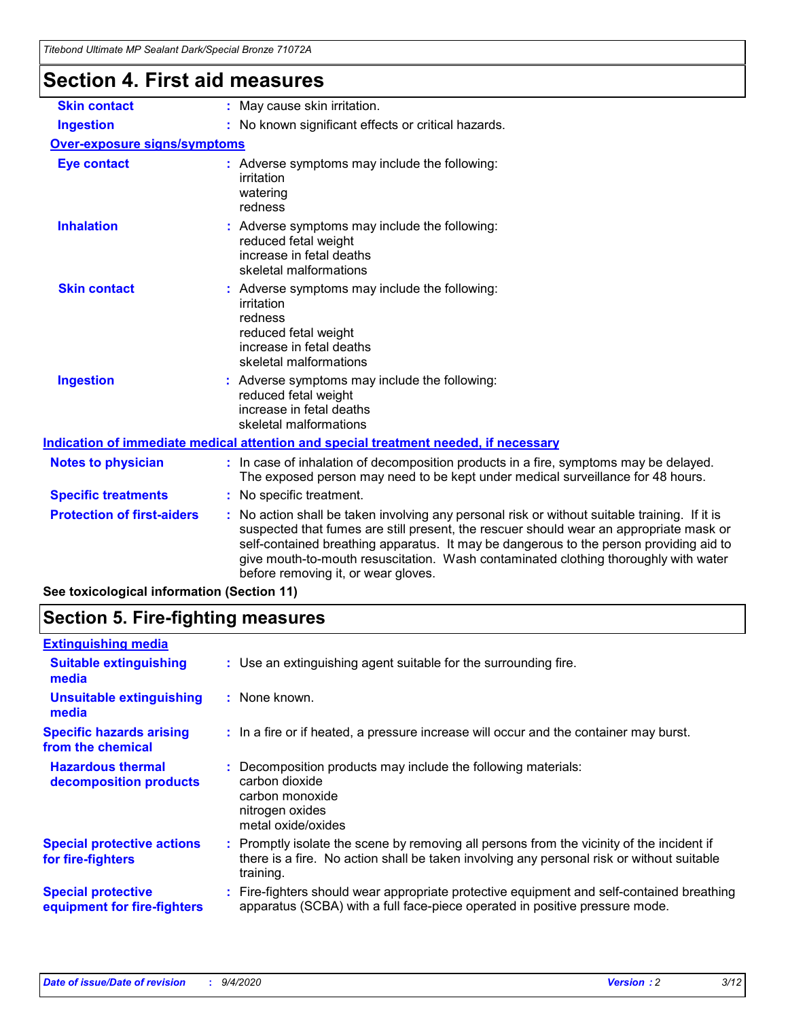| Titebond Ultimate MP Sealant Dark/Special Bronze 71072A |                                                                                                                                                                                                                                                                                                                                                                                                               |
|---------------------------------------------------------|---------------------------------------------------------------------------------------------------------------------------------------------------------------------------------------------------------------------------------------------------------------------------------------------------------------------------------------------------------------------------------------------------------------|
| <b>Section 4. First aid measures</b>                    |                                                                                                                                                                                                                                                                                                                                                                                                               |
| <b>Skin contact</b>                                     | : May cause skin irritation.                                                                                                                                                                                                                                                                                                                                                                                  |
| <b>Ingestion</b>                                        | : No known significant effects or critical hazards.                                                                                                                                                                                                                                                                                                                                                           |
| <b>Over-exposure signs/symptoms</b>                     |                                                                                                                                                                                                                                                                                                                                                                                                               |
| <b>Eye contact</b>                                      | : Adverse symptoms may include the following:<br>irritation<br>watering<br>redness                                                                                                                                                                                                                                                                                                                            |
| <b>Inhalation</b>                                       | : Adverse symptoms may include the following:<br>reduced fetal weight<br>increase in fetal deaths<br>skeletal malformations                                                                                                                                                                                                                                                                                   |
| <b>Skin contact</b>                                     | Adverse symptoms may include the following:<br>irritation<br>redness<br>reduced fetal weight<br>increase in fetal deaths<br>skeletal malformations                                                                                                                                                                                                                                                            |
| <b>Ingestion</b>                                        | : Adverse symptoms may include the following:<br>reduced fetal weight<br>increase in fetal deaths<br>skeletal malformations                                                                                                                                                                                                                                                                                   |
|                                                         | Indication of immediate medical attention and special treatment needed, if necessary                                                                                                                                                                                                                                                                                                                          |
| <b>Notes to physician</b>                               | : In case of inhalation of decomposition products in a fire, symptoms may be delayed.<br>The exposed person may need to be kept under medical surveillance for 48 hours.                                                                                                                                                                                                                                      |
| <b>Specific treatments</b>                              | : No specific treatment.                                                                                                                                                                                                                                                                                                                                                                                      |
| <b>Protection of first-aiders</b>                       | No action shall be taken involving any personal risk or without suitable training. If it is<br>suspected that fumes are still present, the rescuer should wear an appropriate mask or<br>self-contained breathing apparatus. It may be dangerous to the person providing aid to<br>give mouth-to-mouth resuscitation. Wash contaminated clothing thoroughly with water<br>before removing it, or wear gloves. |
|                                                         |                                                                                                                                                                                                                                                                                                                                                                                                               |

**See toxicological information (Section 11)**

### **Section 5. Fire-fighting measures**

| <b>Extinguishing media</b>                               |                                                                                                                                                                                                     |
|----------------------------------------------------------|-----------------------------------------------------------------------------------------------------------------------------------------------------------------------------------------------------|
| <b>Suitable extinguishing</b><br>media                   | : Use an extinguishing agent suitable for the surrounding fire.                                                                                                                                     |
| <b>Unsuitable extinguishing</b><br>media                 | : None known.                                                                                                                                                                                       |
| <b>Specific hazards arising</b><br>from the chemical     | : In a fire or if heated, a pressure increase will occur and the container may burst.                                                                                                               |
| <b>Hazardous thermal</b><br>decomposition products       | : Decomposition products may include the following materials:<br>carbon dioxide<br>carbon monoxide<br>nitrogen oxides<br>metal oxide/oxides                                                         |
| <b>Special protective actions</b><br>for fire-fighters   | : Promptly isolate the scene by removing all persons from the vicinity of the incident if<br>there is a fire. No action shall be taken involving any personal risk or without suitable<br>training. |
| <b>Special protective</b><br>equipment for fire-fighters | Fire-fighters should wear appropriate protective equipment and self-contained breathing<br>apparatus (SCBA) with a full face-piece operated in positive pressure mode.                              |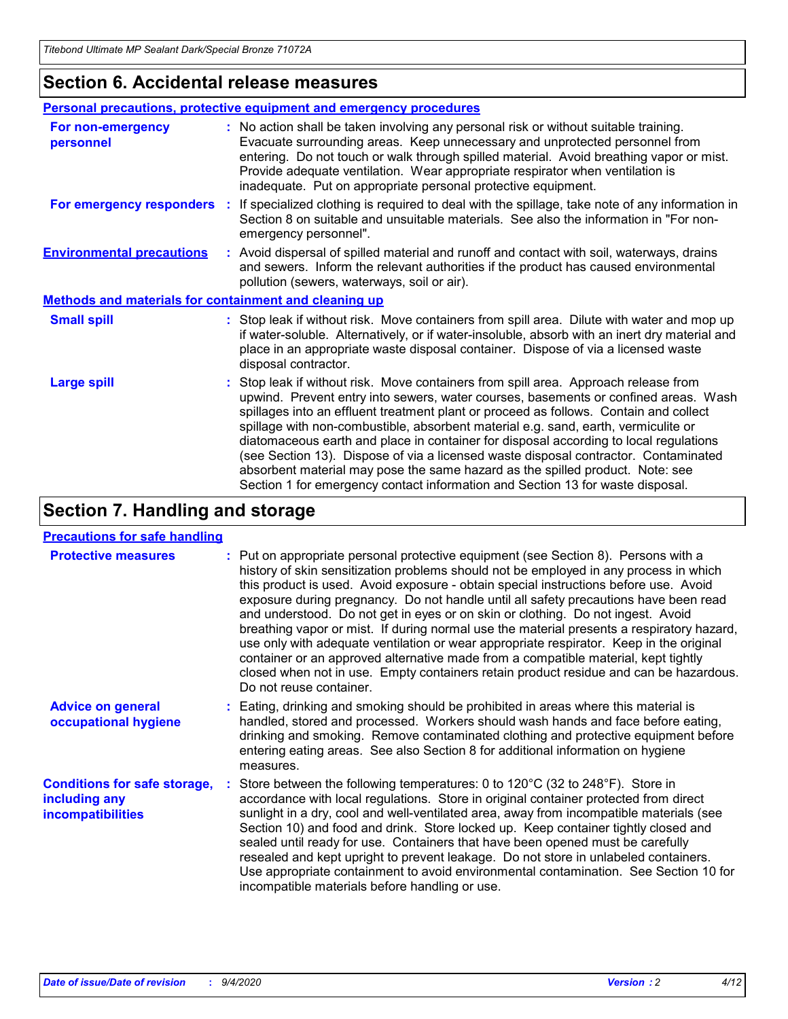### **Section 6. Accidental release measures**

|                                                       | Personal precautions, protective equipment and emergency procedures                                                                                                                                                                                                                                                                                                                                                                                                                                                                                                                                                                                                                                          |  |
|-------------------------------------------------------|--------------------------------------------------------------------------------------------------------------------------------------------------------------------------------------------------------------------------------------------------------------------------------------------------------------------------------------------------------------------------------------------------------------------------------------------------------------------------------------------------------------------------------------------------------------------------------------------------------------------------------------------------------------------------------------------------------------|--|
| For non-emergency<br>personnel                        | : No action shall be taken involving any personal risk or without suitable training.<br>Evacuate surrounding areas. Keep unnecessary and unprotected personnel from<br>entering. Do not touch or walk through spilled material. Avoid breathing vapor or mist.<br>Provide adequate ventilation. Wear appropriate respirator when ventilation is<br>inadequate. Put on appropriate personal protective equipment.                                                                                                                                                                                                                                                                                             |  |
| For emergency responders                              | If specialized clothing is required to deal with the spillage, take note of any information in<br>÷.<br>Section 8 on suitable and unsuitable materials. See also the information in "For non-<br>emergency personnel".                                                                                                                                                                                                                                                                                                                                                                                                                                                                                       |  |
| <b>Environmental precautions</b>                      | : Avoid dispersal of spilled material and runoff and contact with soil, waterways, drains<br>and sewers. Inform the relevant authorities if the product has caused environmental<br>pollution (sewers, waterways, soil or air).                                                                                                                                                                                                                                                                                                                                                                                                                                                                              |  |
| Methods and materials for containment and cleaning up |                                                                                                                                                                                                                                                                                                                                                                                                                                                                                                                                                                                                                                                                                                              |  |
| <b>Small spill</b>                                    | : Stop leak if without risk. Move containers from spill area. Dilute with water and mop up<br>if water-soluble. Alternatively, or if water-insoluble, absorb with an inert dry material and<br>place in an appropriate waste disposal container. Dispose of via a licensed waste<br>disposal contractor.                                                                                                                                                                                                                                                                                                                                                                                                     |  |
| <b>Large spill</b>                                    | : Stop leak if without risk. Move containers from spill area. Approach release from<br>upwind. Prevent entry into sewers, water courses, basements or confined areas. Wash<br>spillages into an effluent treatment plant or proceed as follows. Contain and collect<br>spillage with non-combustible, absorbent material e.g. sand, earth, vermiculite or<br>diatomaceous earth and place in container for disposal according to local regulations<br>(see Section 13). Dispose of via a licensed waste disposal contractor. Contaminated<br>absorbent material may pose the same hazard as the spilled product. Note: see<br>Section 1 for emergency contact information and Section 13 for waste disposal. |  |

### **Section 7. Handling and storage**

#### **Precautions for safe handling**

| <b>Protective measures</b>                                                       | : Put on appropriate personal protective equipment (see Section 8). Persons with a<br>history of skin sensitization problems should not be employed in any process in which<br>this product is used. Avoid exposure - obtain special instructions before use. Avoid<br>exposure during pregnancy. Do not handle until all safety precautions have been read<br>and understood. Do not get in eyes or on skin or clothing. Do not ingest. Avoid<br>breathing vapor or mist. If during normal use the material presents a respiratory hazard,<br>use only with adequate ventilation or wear appropriate respirator. Keep in the original<br>container or an approved alternative made from a compatible material, kept tightly<br>closed when not in use. Empty containers retain product residue and can be hazardous.<br>Do not reuse container. |
|----------------------------------------------------------------------------------|--------------------------------------------------------------------------------------------------------------------------------------------------------------------------------------------------------------------------------------------------------------------------------------------------------------------------------------------------------------------------------------------------------------------------------------------------------------------------------------------------------------------------------------------------------------------------------------------------------------------------------------------------------------------------------------------------------------------------------------------------------------------------------------------------------------------------------------------------|
| <b>Advice on general</b><br>occupational hygiene                                 | : Eating, drinking and smoking should be prohibited in areas where this material is<br>handled, stored and processed. Workers should wash hands and face before eating,<br>drinking and smoking. Remove contaminated clothing and protective equipment before<br>entering eating areas. See also Section 8 for additional information on hygiene<br>measures.                                                                                                                                                                                                                                                                                                                                                                                                                                                                                    |
| <b>Conditions for safe storage,</b><br>including any<br><i>incompatibilities</i> | Store between the following temperatures: 0 to $120^{\circ}$ C (32 to $248^{\circ}$ F). Store in<br>accordance with local regulations. Store in original container protected from direct<br>sunlight in a dry, cool and well-ventilated area, away from incompatible materials (see<br>Section 10) and food and drink. Store locked up. Keep container tightly closed and<br>sealed until ready for use. Containers that have been opened must be carefully<br>resealed and kept upright to prevent leakage. Do not store in unlabeled containers.<br>Use appropriate containment to avoid environmental contamination. See Section 10 for<br>incompatible materials before handling or use.                                                                                                                                                     |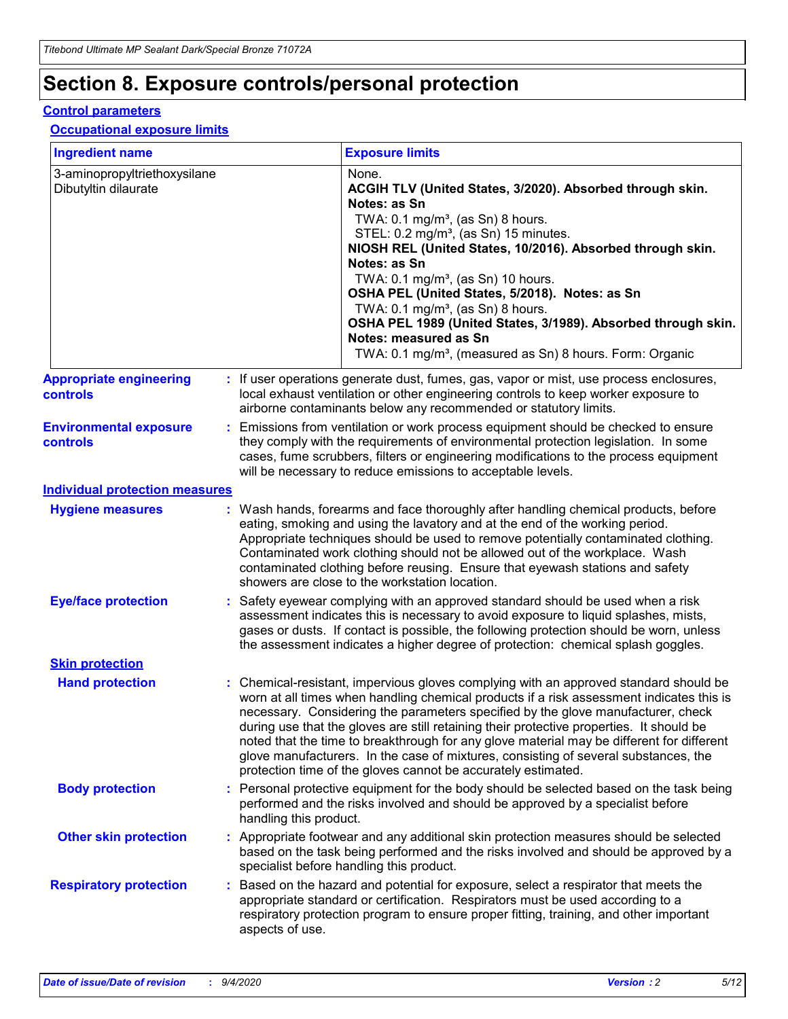## **Section 8. Exposure controls/personal protection**

#### **Control parameters**

#### **Occupational exposure limits**

| <b>Ingredient name</b>                               |    |                        | <b>Exposure limits</b>                                                                                                                                                                                                                                                                                                                                                                                                                                                                                                                                                                                                 |
|------------------------------------------------------|----|------------------------|------------------------------------------------------------------------------------------------------------------------------------------------------------------------------------------------------------------------------------------------------------------------------------------------------------------------------------------------------------------------------------------------------------------------------------------------------------------------------------------------------------------------------------------------------------------------------------------------------------------------|
| 3-aminopropyltriethoxysilane<br>Dibutyltin dilaurate |    |                        | None.<br>ACGIH TLV (United States, 3/2020). Absorbed through skin.<br>Notes: as Sn<br>TWA: 0.1 mg/m <sup>3</sup> , (as Sn) 8 hours.<br>STEL: 0.2 mg/m <sup>3</sup> , (as Sn) 15 minutes.<br>NIOSH REL (United States, 10/2016). Absorbed through skin.<br>Notes: as Sn<br>TWA: 0.1 mg/m <sup>3</sup> , (as Sn) 10 hours.<br>OSHA PEL (United States, 5/2018). Notes: as Sn<br>TWA: $0.1 \text{ mg/m}^3$ , (as Sn) 8 hours.<br>OSHA PEL 1989 (United States, 3/1989). Absorbed through skin.<br>Notes: measured as Sn<br>TWA: 0.1 mg/m <sup>3</sup> , (measured as Sn) 8 hours. Form: Organic                           |
| <b>Appropriate engineering</b><br>controls           |    |                        | : If user operations generate dust, fumes, gas, vapor or mist, use process enclosures,<br>local exhaust ventilation or other engineering controls to keep worker exposure to<br>airborne contaminants below any recommended or statutory limits.                                                                                                                                                                                                                                                                                                                                                                       |
| <b>Environmental exposure</b><br><b>controls</b>     |    |                        | Emissions from ventilation or work process equipment should be checked to ensure<br>they comply with the requirements of environmental protection legislation. In some<br>cases, fume scrubbers, filters or engineering modifications to the process equipment<br>will be necessary to reduce emissions to acceptable levels.                                                                                                                                                                                                                                                                                          |
| <b>Individual protection measures</b>                |    |                        |                                                                                                                                                                                                                                                                                                                                                                                                                                                                                                                                                                                                                        |
| <b>Hygiene measures</b>                              |    |                        | : Wash hands, forearms and face thoroughly after handling chemical products, before<br>eating, smoking and using the lavatory and at the end of the working period.<br>Appropriate techniques should be used to remove potentially contaminated clothing.<br>Contaminated work clothing should not be allowed out of the workplace. Wash<br>contaminated clothing before reusing. Ensure that eyewash stations and safety<br>showers are close to the workstation location.                                                                                                                                            |
| <b>Eye/face protection</b>                           |    |                        | : Safety eyewear complying with an approved standard should be used when a risk<br>assessment indicates this is necessary to avoid exposure to liquid splashes, mists,<br>gases or dusts. If contact is possible, the following protection should be worn, unless<br>the assessment indicates a higher degree of protection: chemical splash goggles.                                                                                                                                                                                                                                                                  |
| <b>Skin protection</b>                               |    |                        |                                                                                                                                                                                                                                                                                                                                                                                                                                                                                                                                                                                                                        |
| <b>Hand protection</b>                               |    |                        | : Chemical-resistant, impervious gloves complying with an approved standard should be<br>worn at all times when handling chemical products if a risk assessment indicates this is<br>necessary. Considering the parameters specified by the glove manufacturer, check<br>during use that the gloves are still retaining their protective properties. It should be<br>noted that the time to breakthrough for any glove material may be different for different<br>glove manufacturers. In the case of mixtures, consisting of several substances, the<br>protection time of the gloves cannot be accurately estimated. |
| <b>Body protection</b>                               |    | handling this product. | Personal protective equipment for the body should be selected based on the task being<br>performed and the risks involved and should be approved by a specialist before                                                                                                                                                                                                                                                                                                                                                                                                                                                |
| <b>Other skin protection</b>                         |    |                        | : Appropriate footwear and any additional skin protection measures should be selected<br>based on the task being performed and the risks involved and should be approved by a<br>specialist before handling this product.                                                                                                                                                                                                                                                                                                                                                                                              |
| <b>Respiratory protection</b>                        | ÷. | aspects of use.        | Based on the hazard and potential for exposure, select a respirator that meets the<br>appropriate standard or certification. Respirators must be used according to a<br>respiratory protection program to ensure proper fitting, training, and other important                                                                                                                                                                                                                                                                                                                                                         |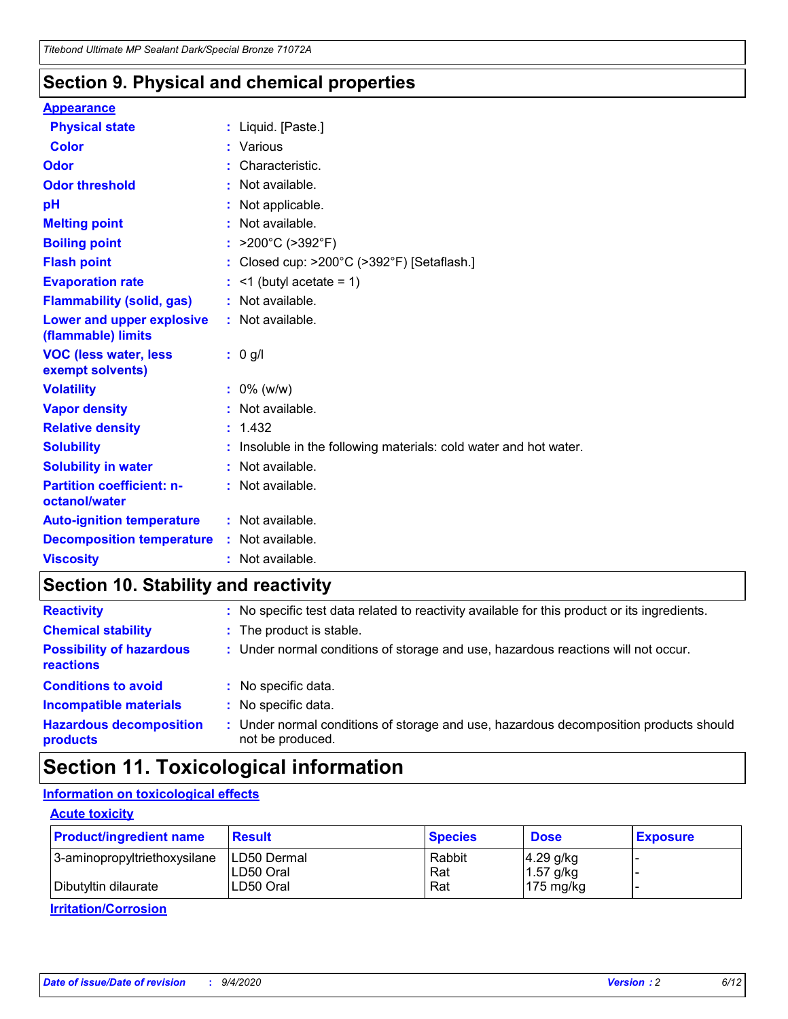### **Section 9. Physical and chemical properties**

#### **Appearance**

| <b>Physical state</b>                             | : Liquid. [Paste.]                                              |
|---------------------------------------------------|-----------------------------------------------------------------|
| Color                                             | Various                                                         |
| Odor                                              | Characteristic.                                                 |
| <b>Odor threshold</b>                             | Not available.                                                  |
| рH                                                | Not applicable.                                                 |
| <b>Melting point</b>                              | : Not available.                                                |
| <b>Boiling point</b>                              | >200°C (>392°F)                                                 |
| <b>Flash point</b>                                | Closed cup: >200°C (>392°F) [Setaflash.]                        |
| <b>Evaporation rate</b>                           | $<$ 1 (butyl acetate = 1)                                       |
| <b>Flammability (solid, gas)</b>                  | : Not available.                                                |
| Lower and upper explosive<br>(flammable) limits   | $:$ Not available.                                              |
| <b>VOC (less water, less)</b><br>exempt solvents) | : 0 g/l                                                         |
| <b>Volatility</b>                                 | $: 0\%$ (w/w)                                                   |
| <b>Vapor density</b>                              | Not available.                                                  |
| <b>Relative density</b>                           | : 1.432                                                         |
| <b>Solubility</b>                                 | Insoluble in the following materials: cold water and hot water. |
| <b>Solubility in water</b>                        | Not available.                                                  |
| <b>Partition coefficient: n-</b><br>octanol/water | : Not available.                                                |
| <b>Auto-ignition temperature</b>                  | $:$ Not available.                                              |
| <b>Decomposition temperature</b>                  | : Not available.                                                |
| <b>Viscosity</b>                                  | : Not available.                                                |

### **Section 10. Stability and reactivity**

| <b>Reactivity</b>                            | : No specific test data related to reactivity available for this product or its ingredients.            |
|----------------------------------------------|---------------------------------------------------------------------------------------------------------|
| <b>Chemical stability</b>                    | : The product is stable.                                                                                |
| <b>Possibility of hazardous</b><br>reactions | : Under normal conditions of storage and use, hazardous reactions will not occur.                       |
| <b>Conditions to avoid</b>                   | : No specific data.                                                                                     |
| <b>Incompatible materials</b>                | : No specific data.                                                                                     |
| <b>Hazardous decomposition</b><br>products   | Under normal conditions of storage and use, hazardous decomposition products should<br>not be produced. |

### **Section 11. Toxicological information**

### **Information on toxicological effects**

#### **Acute toxicity**

| <b>Product/ingredient name</b> | <b>Result</b>           | <b>Species</b> | <b>Dose</b>                | <b>Exposure</b> |
|--------------------------------|-------------------------|----------------|----------------------------|-----------------|
| 3-aminopropyltriethoxysilane   | <b>ILD50 Dermal</b>     | Rabbit         | 4.29 g/kg                  |                 |
| Dibutyltin dilaurate           | ILD50 Oral<br>LD50 Oral | Rat<br>Rat     | $1.57$ g/kg<br>175 $mg/kg$ |                 |
|                                |                         |                |                            |                 |

**Irritation/Corrosion**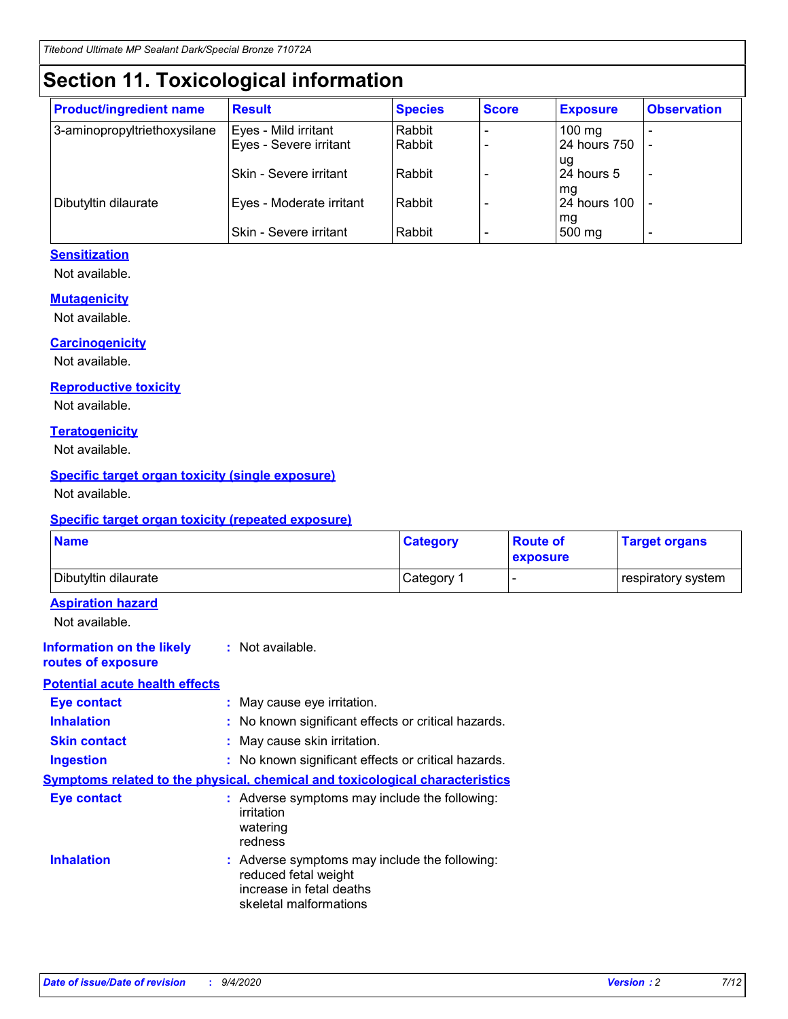## **Section 11. Toxicological information**

| <b>Product/ingredient name</b> | <b>Result</b>                 | <b>Species</b> | <b>Score</b> | <b>Exposure</b>    | <b>Observation</b> |
|--------------------------------|-------------------------------|----------------|--------------|--------------------|--------------------|
| 3-aminopropyltriethoxysilane   | Eyes - Mild irritant          | Rabbit         |              | $100 \text{ mg}$   |                    |
|                                | Eyes - Severe irritant        | Rabbit         |              | 24 hours 750       |                    |
|                                |                               |                |              | ug                 |                    |
|                                | <b>Skin - Severe irritant</b> | Rabbit         |              | 24 hours 5         | -                  |
| Dibutyltin dilaurate           | Eyes - Moderate irritant      | Rabbit         |              | mq<br>24 hours 100 |                    |
|                                |                               |                |              | mg                 |                    |
|                                | Skin - Severe irritant        | Rabbit         |              | 500 mg             |                    |

#### **Sensitization**

Not available.

#### **Mutagenicity**

Not available.

#### **Carcinogenicity**

Not available.

#### **Reproductive toxicity**

Not available.

#### **Teratogenicity**

Not available.

#### **Specific target organ toxicity (single exposure)**

Not available.

#### **Specific target organ toxicity (repeated exposure)**

| <b>Name</b>                                                                         |                                                                            | <b>Category</b>                                     | <b>Route of</b><br>exposure | <b>Target organs</b> |  |  |
|-------------------------------------------------------------------------------------|----------------------------------------------------------------------------|-----------------------------------------------------|-----------------------------|----------------------|--|--|
| Dibutyltin dilaurate                                                                |                                                                            | Category 1                                          | -                           | respiratory system   |  |  |
| <b>Aspiration hazard</b><br>Not available.                                          |                                                                            |                                                     |                             |                      |  |  |
| <b>Information on the likely</b><br>routes of exposure                              | : Not available.                                                           |                                                     |                             |                      |  |  |
| <b>Potential acute health effects</b>                                               |                                                                            |                                                     |                             |                      |  |  |
| <b>Eye contact</b>                                                                  | : May cause eye irritation.                                                |                                                     |                             |                      |  |  |
| <b>Inhalation</b>                                                                   |                                                                            | : No known significant effects or critical hazards. |                             |                      |  |  |
| <b>Skin contact</b>                                                                 |                                                                            | : May cause skin irritation.                        |                             |                      |  |  |
| <b>Ingestion</b>                                                                    |                                                                            | : No known significant effects or critical hazards. |                             |                      |  |  |
| <b>Symptoms related to the physical, chemical and toxicological characteristics</b> |                                                                            |                                                     |                             |                      |  |  |
| <b>Eye contact</b>                                                                  | irritation<br>watering<br>redness                                          | : Adverse symptoms may include the following:       |                             |                      |  |  |
| <b>Inhalation</b>                                                                   | reduced fetal weight<br>increase in fetal deaths<br>skeletal malformations | : Adverse symptoms may include the following:       |                             |                      |  |  |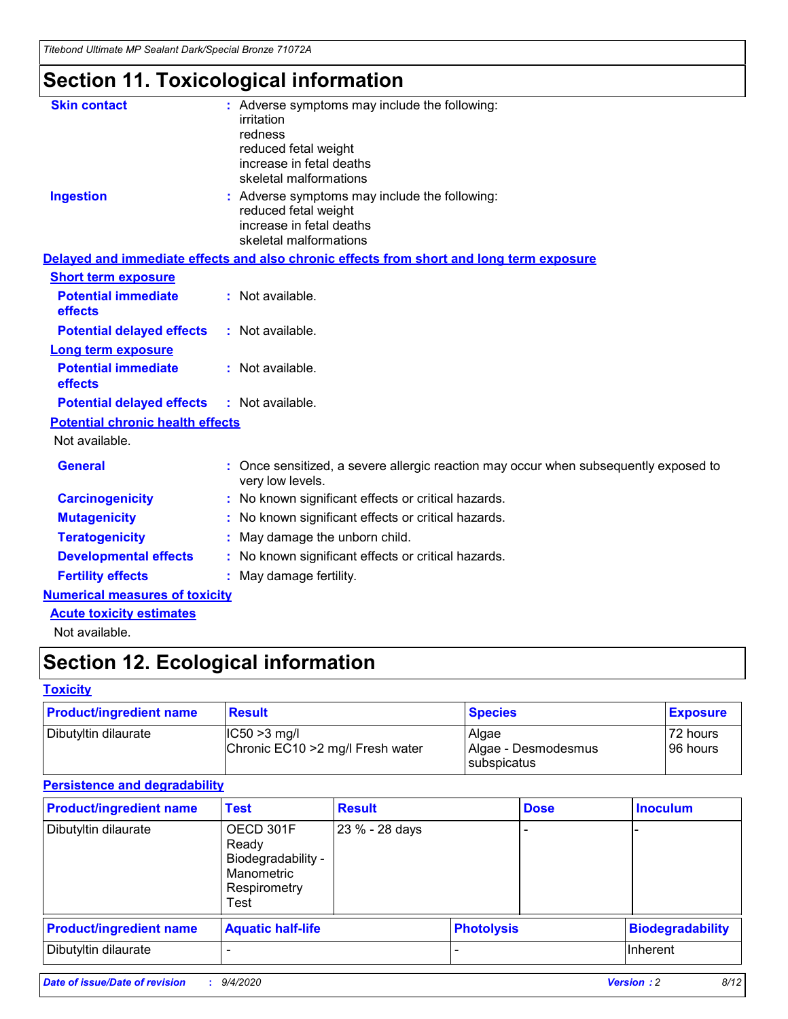*Titebond Ultimate MP Sealant Dark/Special Bronze 71072A*

## **Section 11. Toxicological information**

| <b>Skin contact</b>                     | : Adverse symptoms may include the following:<br>irritation<br>redness<br>reduced fetal weight<br>increase in fetal deaths                            |  |
|-----------------------------------------|-------------------------------------------------------------------------------------------------------------------------------------------------------|--|
| <b>Ingestion</b>                        | skeletal malformations<br>: Adverse symptoms may include the following:<br>reduced fetal weight<br>increase in fetal deaths<br>skeletal malformations |  |
|                                         | Delayed and immediate effects and also chronic effects from short and long term exposure                                                              |  |
| <b>Short term exposure</b>              |                                                                                                                                                       |  |
| <b>Potential immediate</b><br>effects   | : Not available.                                                                                                                                      |  |
| <b>Potential delayed effects</b>        | : Not available.                                                                                                                                      |  |
| <b>Long term exposure</b>               |                                                                                                                                                       |  |
| <b>Potential immediate</b><br>effects   | : Not available.                                                                                                                                      |  |
| <b>Potential delayed effects</b>        | : Not available.                                                                                                                                      |  |
| <b>Potential chronic health effects</b> |                                                                                                                                                       |  |
| Not available.                          |                                                                                                                                                       |  |
| <b>General</b>                          | : Once sensitized, a severe allergic reaction may occur when subsequently exposed to<br>very low levels.                                              |  |
| <b>Carcinogenicity</b>                  | : No known significant effects or critical hazards.                                                                                                   |  |
| <b>Mutagenicity</b>                     | : No known significant effects or critical hazards.                                                                                                   |  |
| <b>Teratogenicity</b>                   | May damage the unborn child.                                                                                                                          |  |
| <b>Developmental effects</b>            | : No known significant effects or critical hazards.                                                                                                   |  |
| <b>Fertility effects</b>                | : May damage fertility.                                                                                                                               |  |
| <b>Numerical measures of toxicity</b>   |                                                                                                                                                       |  |
| <b>Acute toxicity estimates</b>         |                                                                                                                                                       |  |
| Not available.                          |                                                                                                                                                       |  |

## **Section 12. Ecological information**

#### **Toxicity**

| <b>Product/ingredient name</b> | <b>Result</b>                                       | <b>Species</b>               | <b>Exposure</b>       |
|--------------------------------|-----------------------------------------------------|------------------------------|-----------------------|
| Dibutyltin dilaurate           | $ IC50>3$ mg/l<br>Chronic EC10 > 2 mg/l Fresh water | Algae<br>Algae - Desmodesmus | 72 hours<br>196 hours |
|                                |                                                     | subspicatus                  |                       |

#### **Persistence and degradability**

| <b>Product/ingredient name</b> | <b>Test</b>                                                                    | <b>Result</b>  |  | <b>Dose</b>       | <b>Inoculum</b>         |
|--------------------------------|--------------------------------------------------------------------------------|----------------|--|-------------------|-------------------------|
| Dibutyltin dilaurate           | OECD 301F<br>Ready<br>Biodegradability -<br>Manometric<br>Respirometry<br>Test | 23 % - 28 days |  |                   |                         |
| <b>Product/ingredient name</b> | <b>Aquatic half-life</b>                                                       |                |  | <b>Photolysis</b> | <b>Biodegradability</b> |
| Dibutyltin dilaurate           |                                                                                |                |  |                   | <b>Inherent</b>         |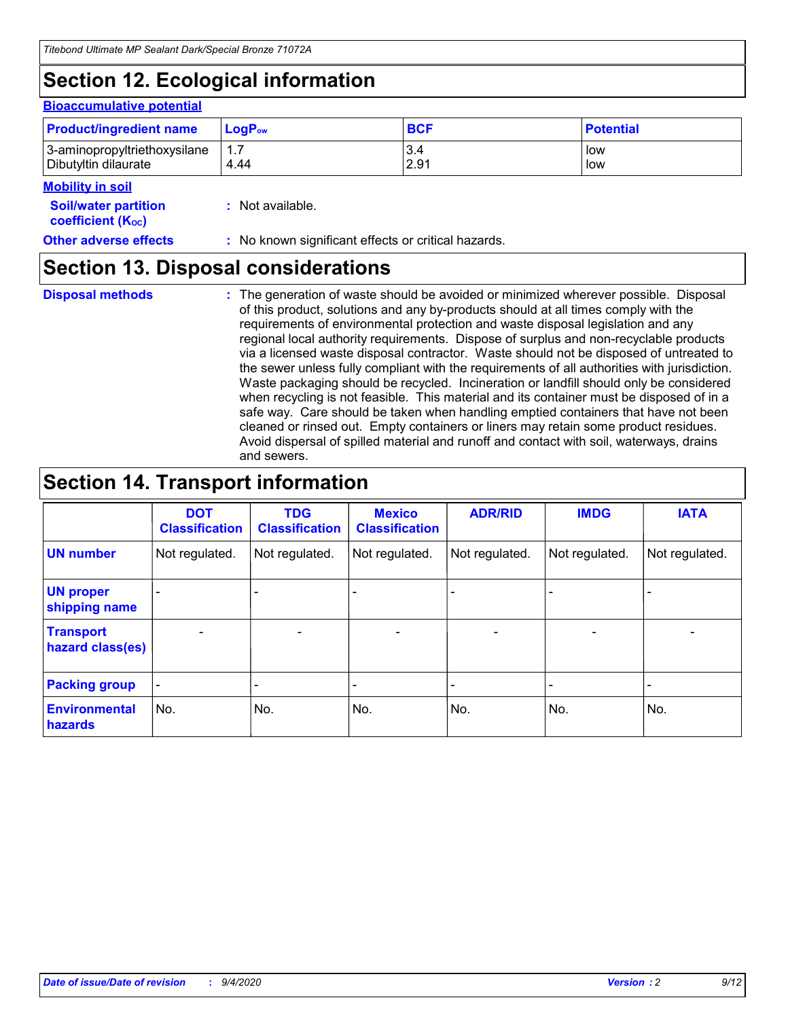## **Section 12. Ecological information**

#### **Bioaccumulative potential**

| <b>Product/ingredient name</b> | <b>LogP</b> <sub>ow</sub> | <b>BCF</b> | <b>Potential</b> |
|--------------------------------|---------------------------|------------|------------------|
| 3-aminopropyltriethoxysilane   | 4.44                      | 3.4        | low              |
| Dibutyltin dilaurate           |                           | 2.91       | low              |

#### **Mobility in soil**

| <b>MODINA IN SON</b>                                          |                                                     |
|---------------------------------------------------------------|-----------------------------------------------------|
| <b>Soil/water partition</b><br>coefficient (K <sub>oc</sub> ) | : Not available.                                    |
| <b>Other adverse effects</b>                                  | : No known significant effects or critical hazards. |

### **Section 13. Disposal considerations**

**Disposal methods :**

The generation of waste should be avoided or minimized wherever possible. Disposal of this product, solutions and any by-products should at all times comply with the requirements of environmental protection and waste disposal legislation and any regional local authority requirements. Dispose of surplus and non-recyclable products via a licensed waste disposal contractor. Waste should not be disposed of untreated to the sewer unless fully compliant with the requirements of all authorities with jurisdiction. Waste packaging should be recycled. Incineration or landfill should only be considered when recycling is not feasible. This material and its container must be disposed of in a safe way. Care should be taken when handling emptied containers that have not been cleaned or rinsed out. Empty containers or liners may retain some product residues. Avoid dispersal of spilled material and runoff and contact with soil, waterways, drains and sewers.

### **Section 14. Transport information**

|                                      | <b>DOT</b><br><b>Classification</b> | <b>TDG</b><br><b>Classification</b> | <b>Mexico</b><br><b>Classification</b> | <b>ADR/RID</b>           | <b>IMDG</b>              | <b>IATA</b>    |
|--------------------------------------|-------------------------------------|-------------------------------------|----------------------------------------|--------------------------|--------------------------|----------------|
| <b>UN number</b>                     | Not regulated.                      | Not regulated.                      | Not regulated.                         | Not regulated.           | Not regulated.           | Not regulated. |
| <b>UN proper</b><br>shipping name    |                                     |                                     |                                        |                          |                          |                |
| <b>Transport</b><br>hazard class(es) |                                     | $\overline{\phantom{0}}$            | $\qquad \qquad \blacksquare$           | $\overline{\phantom{0}}$ | $\overline{\phantom{0}}$ |                |
| <b>Packing group</b>                 |                                     |                                     |                                        |                          |                          |                |
| <b>Environmental</b><br>hazards      | No.                                 | No.                                 | No.                                    | No.                      | No.                      | No.            |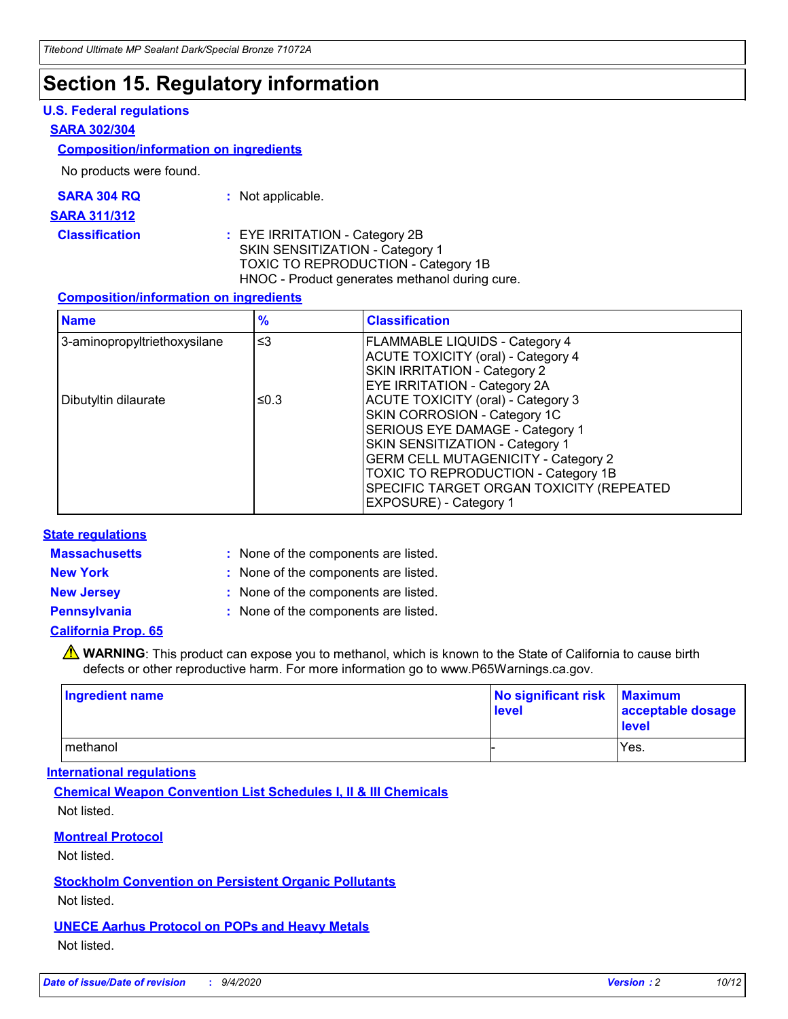### **Section 15. Regulatory information**

#### **U.S. Federal regulations**

#### **SARA 302/304**

#### **Composition/information on ingredients**

No products were found.

| SARA 304 RQ | Not applicable. |
|-------------|-----------------|
|-------------|-----------------|

#### **SARA 311/312**

**Classification :** EYE IRRITATION - Category 2B SKIN SENSITIZATION - Category 1 TOXIC TO REPRODUCTION - Category 1B HNOC - Product generates methanol during cure.

#### **Composition/information on ingredients**

| <b>Name</b>                  | $\frac{9}{6}$ | <b>Classification</b>                                                                                                                                                                                                                                                                                      |
|------------------------------|---------------|------------------------------------------------------------------------------------------------------------------------------------------------------------------------------------------------------------------------------------------------------------------------------------------------------------|
| 3-aminopropyltriethoxysilane | $\leq$ 3      | <b>FLAMMABLE LIQUIDS - Category 4</b><br><b>ACUTE TOXICITY (oral) - Category 4</b><br><b>SKIN IRRITATION - Category 2</b><br>EYE IRRITATION - Category 2A                                                                                                                                                  |
| Dibutyltin dilaurate         | ≤0.3          | <b>ACUTE TOXICITY (oral) - Category 3</b><br>SKIN CORROSION - Category 1C<br>SERIOUS EYE DAMAGE - Category 1<br>SKIN SENSITIZATION - Category 1<br><b>GERM CELL MUTAGENICITY - Category 2</b><br>TOXIC TO REPRODUCTION - Category 1B<br>SPECIFIC TARGET ORGAN TOXICITY (REPEATED<br>EXPOSURE) - Category 1 |

#### **State regulations**

**Massachusetts :**

: None of the components are listed.

**New York :** None of the components are listed. **New Jersey :** None of the components are listed.

**Pennsylvania :** None of the components are listed.

#### **California Prop. 65**

WARNING: This product can expose you to methanol, which is known to the State of California to cause birth defects or other reproductive harm. For more information go to www.P65Warnings.ca.gov.

| Ingredient name | No significant risk Maximum<br>level | acceptable dosage<br><b>level</b> |
|-----------------|--------------------------------------|-----------------------------------|
| I methanol      |                                      | Yes.                              |

#### **International regulations**

**Chemical Weapon Convention List Schedules I, II & III Chemicals** Not listed.

#### **Montreal Protocol**

Not listed.

**Stockholm Convention on Persistent Organic Pollutants**

Not listed.

#### **UNECE Aarhus Protocol on POPs and Heavy Metals** Not listed.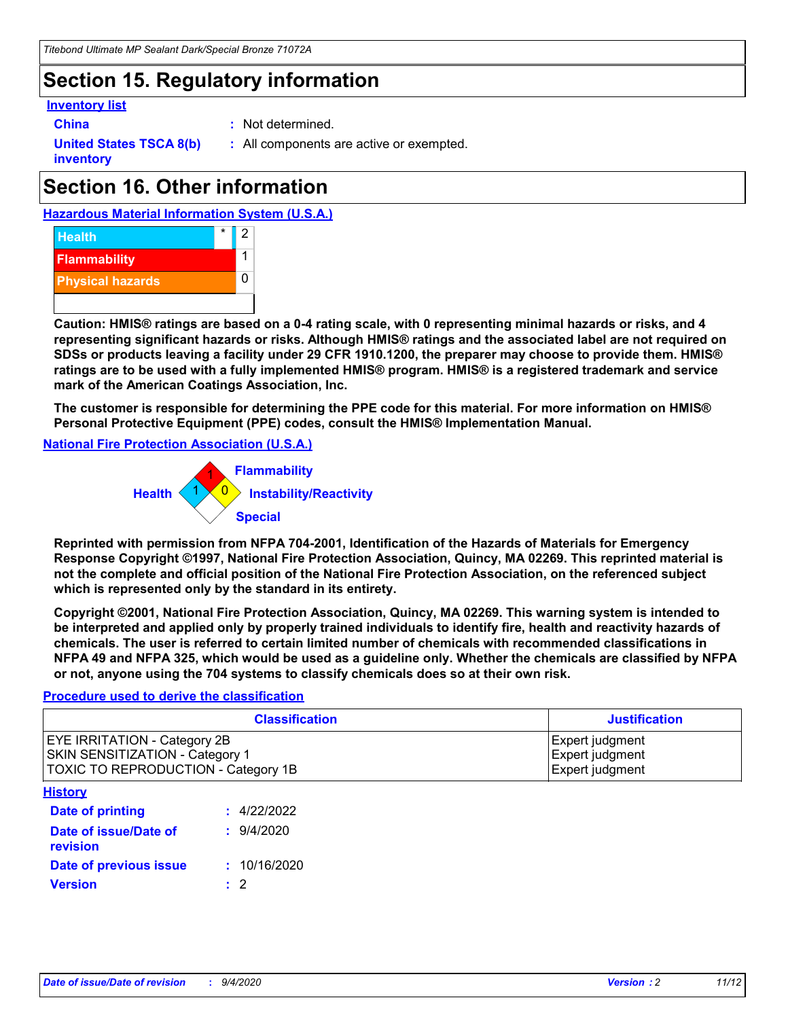### **Section 15. Regulatory information**

#### **Inventory list**

- 
- **China :** Not determined.

**United States TSCA 8(b) inventory**

**:** All components are active or exempted.

## **Section 16. Other information**

**Hazardous Material Information System (U.S.A.)**



**Caution: HMIS® ratings are based on a 0-4 rating scale, with 0 representing minimal hazards or risks, and 4 representing significant hazards or risks. Although HMIS® ratings and the associated label are not required on SDSs or products leaving a facility under 29 CFR 1910.1200, the preparer may choose to provide them. HMIS® ratings are to be used with a fully implemented HMIS® program. HMIS® is a registered trademark and service mark of the American Coatings Association, Inc.**

**The customer is responsible for determining the PPE code for this material. For more information on HMIS® Personal Protective Equipment (PPE) codes, consult the HMIS® Implementation Manual.**

**National Fire Protection Association (U.S.A.)**



**Reprinted with permission from NFPA 704-2001, Identification of the Hazards of Materials for Emergency Response Copyright ©1997, National Fire Protection Association, Quincy, MA 02269. This reprinted material is not the complete and official position of the National Fire Protection Association, on the referenced subject which is represented only by the standard in its entirety.**

**Copyright ©2001, National Fire Protection Association, Quincy, MA 02269. This warning system is intended to be interpreted and applied only by properly trained individuals to identify fire, health and reactivity hazards of chemicals. The user is referred to certain limited number of chemicals with recommended classifications in NFPA 49 and NFPA 325, which would be used as a guideline only. Whether the chemicals are classified by NFPA or not, anyone using the 704 systems to classify chemicals does so at their own risk.**

#### **Procedure used to derive the classification**

| <b>Classification</b>                                                                                         | <b>Justification</b>                                  |
|---------------------------------------------------------------------------------------------------------------|-------------------------------------------------------|
| <b>EYE IRRITATION - Category 2B</b><br>SKIN SENSITIZATION - Category 1<br>TOXIC TO REPRODUCTION - Category 1B | Expert judgment<br>Expert judgment<br>Expert judgment |
| <b>History</b>                                                                                                |                                                       |

| .                                 |              |
|-----------------------------------|--------------|
| <b>Date of printing</b>           | : 4/22/2022  |
| Date of issue/Date of<br>revision | 9/4/2020     |
| Date of previous issue            | : 10/16/2020 |
| Version                           | $\cdot$ 2    |
|                                   |              |